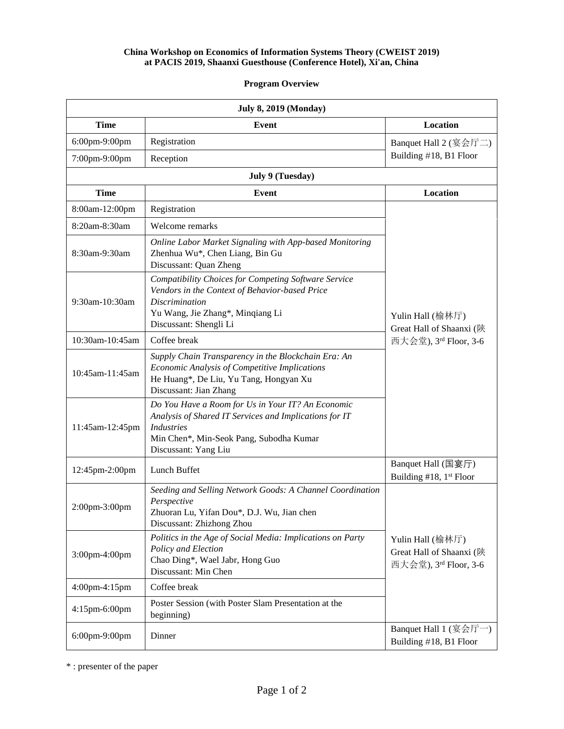## **China Workshop on Economics of Information Systems Theory (CWEIST 2019) at PACIS 2019, Shaanxi Guesthouse (Conference Hotel), Xi'an, China**

## **Program Overview**

| <b>July 8, 2019 (Monday)</b> |                                                                                                                                                                                                     |                                                                       |
|------------------------------|-----------------------------------------------------------------------------------------------------------------------------------------------------------------------------------------------------|-----------------------------------------------------------------------|
| <b>Time</b>                  | Event                                                                                                                                                                                               | Location                                                              |
| 6:00pm-9:00pm                | Registration                                                                                                                                                                                        | Banquet Hall $2$ (宴会厅二)                                               |
| 7:00pm-9:00pm                | Reception                                                                                                                                                                                           | Building #18, B1 Floor                                                |
| <b>July 9 (Tuesday)</b>      |                                                                                                                                                                                                     |                                                                       |
| <b>Time</b>                  | Event                                                                                                                                                                                               | Location                                                              |
| 8:00am-12:00pm               | Registration                                                                                                                                                                                        | Yulin Hall (榆林厅)<br>Great Hall of Shaanxi (陕<br>西大会堂), 3rd Floor, 3-6 |
| 8:20am-8:30am                | Welcome remarks                                                                                                                                                                                     |                                                                       |
| 8:30am-9:30am                | Online Labor Market Signaling with App-based Monitoring<br>Zhenhua Wu*, Chen Liang, Bin Gu<br>Discussant: Quan Zheng                                                                                |                                                                       |
| 9:30am-10:30am               | Compatibility Choices for Competing Software Service<br>Vendors in the Context of Behavior-based Price<br><b>Discrimination</b><br>Yu Wang, Jie Zhang*, Minqiang Li<br>Discussant: Shengli Li       |                                                                       |
| 10:30am-10:45am              | Coffee break                                                                                                                                                                                        |                                                                       |
| 10:45am-11:45am              | Supply Chain Transparency in the Blockchain Era: An<br>Economic Analysis of Competitive Implications<br>He Huang*, De Liu, Yu Tang, Hongyan Xu<br>Discussant: Jian Zhang                            |                                                                       |
| 11:45am-12:45pm              | Do You Have a Room for Us in Your IT? An Economic<br>Analysis of Shared IT Services and Implications for IT<br><b>Industries</b><br>Min Chen*, Min-Seok Pang, Subodha Kumar<br>Discussant: Yang Liu |                                                                       |
| 12:45pm-2:00pm               | Lunch Buffet                                                                                                                                                                                        | Banquet Hall (国宴厅)<br>Building #18, 1st Floor                         |
| 2:00pm-3:00pm                | Seeding and Selling Network Goods: A Channel Coordination<br>Perspective<br>Zhuoran Lu, Yifan Dou*, D.J. Wu, Jian chen<br>Discussant: Zhizhong Zhou                                                 |                                                                       |
| 3:00pm-4:00pm                | Politics in the Age of Social Media: Implications on Party<br>Policy and Election<br>Chao Ding*, Wael Jabr, Hong Guo<br>Discussant: Min Chen                                                        | Yulin Hall (榆林厅)<br>Great Hall of Shaanxi (陕<br>西大会堂), 3rd Floor, 3-6 |
| 4:00pm-4:15pm                | Coffee break                                                                                                                                                                                        |                                                                       |
| 4:15pm-6:00pm                | Poster Session (with Poster Slam Presentation at the<br>beginning)                                                                                                                                  |                                                                       |
| 6:00pm-9:00pm                | Dinner                                                                                                                                                                                              | Banquet Hall 1 (宴会厅一)<br>Building #18, B1 Floor                       |

\* : presenter of the paper